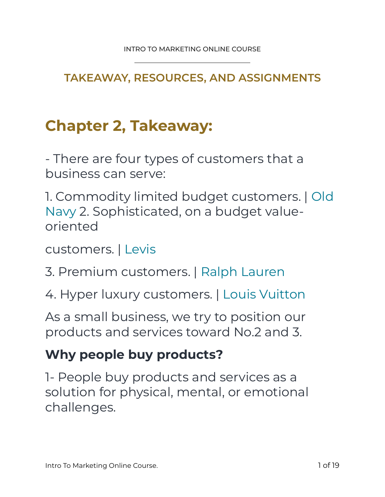**TAKEAWAY, RESOURCES, AND ASSIGNMENTS** 

# **Chapter 2, Takeaway:**

- There are four types of customers that a business can serve:

1. Commodity limited budget customers. | Old Navy 2. Sophisticated, on a budget valueoriented

customers. | Levis

3. Premium customers. | Ralph Lauren

4. Hyper luxury customers. | Louis Vuitton

As a small business, we try to position our products and services toward No.2 and 3.

#### **Why people buy products?**

1- People buy products and services as a solution for physical, mental, or emotional challenges.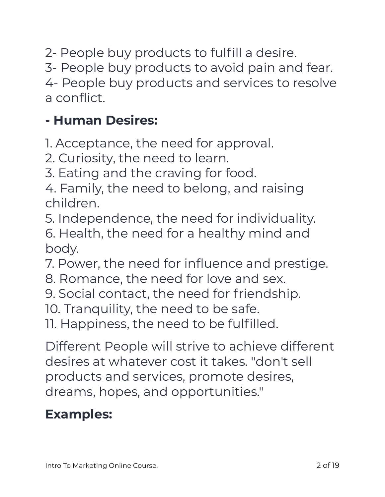2- People buy products to fulfill a desire.

3- People buy products to avoid pain and fear.

4- People buy products and services to resolve a conflict.

## **- Human Desires:**

1. Acceptance, the need for approval.

2. Curiosity, the need to learn.

3. Eating and the craving for food.

4. Family, the need to belong, and raising children.

5. Independence, the need for individuality.

6. Health, the need for a healthy mind and body.

7. Power, the need for influence and prestige.

- 8. Romance, the need for love and sex.
- 9. Social contact, the need for friendship.

10. Tranquility, the need to be safe.

11. Happiness, the need to be fulfilled.

Different People will strive to achieve different desires at whatever cost it takes. "don't sell products and services, promote desires, dreams, hopes, and opportunities."

## **Examples:**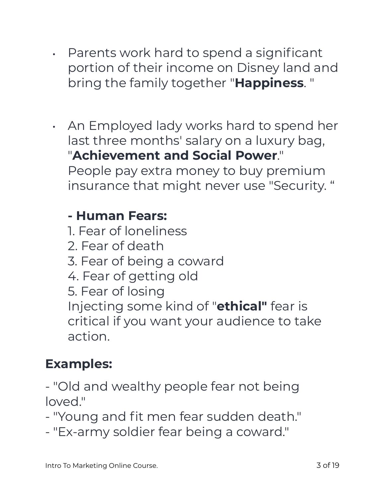- Parents work hard to spend a significant portion of their income on Disney land and bring the family together "**Happiness**. "
- An Employed lady works hard to spend her last three months' salary on a luxury bag, "**Achievement and Social Power**."

People pay extra money to buy premium insurance that might never use "Security. "

#### **- Human Fears:**

1. Fear of loneliness 2. Fear of death 3. Fear of being a coward 4. Fear of getting old 5. Fear of losing Injecting some kind of "**ethical"** fear is critical if you want your audience to take action.

# **Examples:**

- "Old and wealthy people fear not being loved."

- "Young and fit men fear sudden death."

- "Ex-army soldier fear being a coward."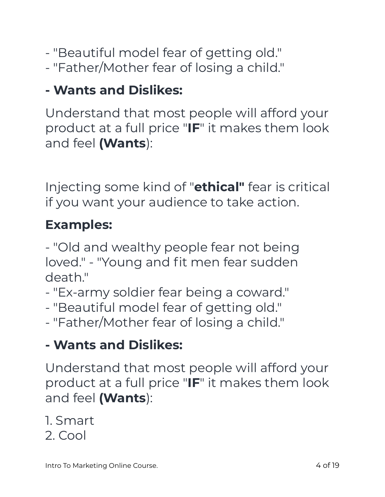- "Beautiful model fear of getting old."
- "Father/Mother fear of losing a child."

# **- Wants and Dislikes:**

Understand that most people will afford your product at a full price "**IF**" it makes them look and feel **(Wants**):

Injecting some kind of "**ethical"** fear is critical if you want your audience to take action.

# **Examples:**

- "Old and wealthy people fear not being loved." - "Young and fit men fear sudden death."

- "Ex-army soldier fear being a coward."

- "Beautiful model fear of getting old."
- "Father/Mother fear of losing a child."

### **- Wants and Dislikes:**

Understand that most people will afford your product at a full price "**IF**" it makes them look and feel **(Wants**):

#### 1. Smart

2. Cool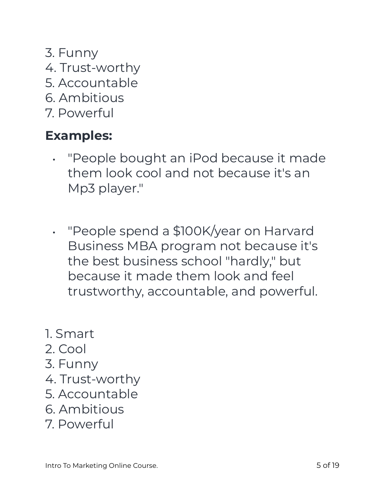- 3. Funny
- 4. Trust-worthy
- 5. Accountable
- 6. Ambitious
- 7. Powerful

### **Examples:**

- "People bought an iPod because it made them look cool and not because it's an Mp3 player."
- "People spend a \$100K/year on Harvard Business MBA program not because it's the best business school "hardly," but because it made them look and feel trustworthy, accountable, and powerful.
- 1. Smart
- 2. Cool
- 3. Funny
- 4. Trust-worthy
- 5. Accountable
- 6. Ambitious
- 7. Powerful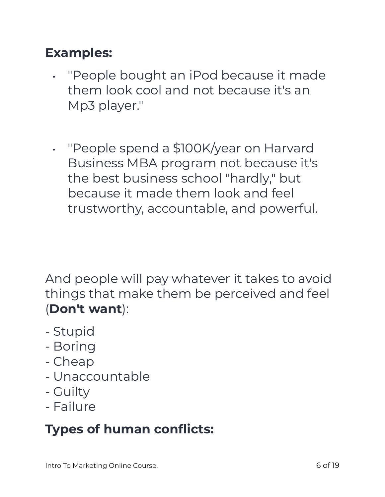#### **Examples:**

- "People bought an iPod because it made them look cool and not because it's an Mp3 player."
- "People spend a \$100K/year on Harvard Business MBA program not because it's the best business school "hardly," but because it made them look and feel trustworthy, accountable, and powerful.

And people will pay whatever it takes to avoid things that make them be perceived and feel (**Don't want**):

- Stupid
- Boring
- Cheap
- Unaccountable
- Guilty
- Failure

## **Types of human conflicts:**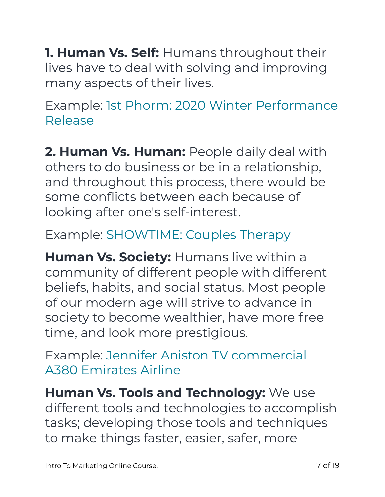**1. Human Vs. Self:** Humans throughout their lives have to deal with solving and improving many aspects of their lives.

Example: 1st Phorm: 2020 Winter Performance Release

**2. Human Vs. Human:** People daily deal with others to do business or be in a relationship, and throughout this process, there would be some conflicts between each because of looking after one's self-interest.

## Example: SHOWTIME: Couples Therapy

**Human Vs. Society:** Humans live within a community of different people with different beliefs, habits, and social status. Most people of our modern age will strive to advance in society to become wealthier, have more free time, and look more prestigious.

Example: Jennifer Aniston TV commercial A380 Emirates Airline

**Human Vs. Tools and Technology:** We use different tools and technologies to accomplish tasks; developing those tools and techniques to make things faster, easier, safer, more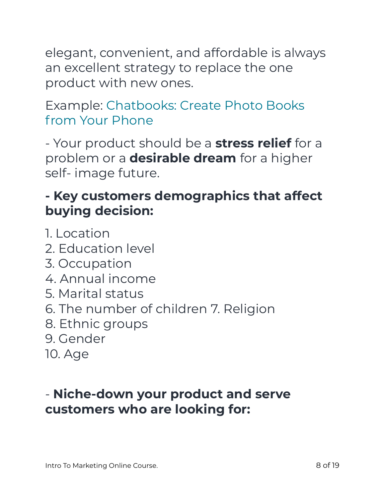elegant, convenient, and affordable is always an excellent strategy to replace the one product with new ones.

#### Example: Chatbooks: Create Photo Books from Your Phone

- Your product should be a **stress relief** for a problem or a **desirable dream** for a higher self- image future.

## **- Key customers demographics that affect buying decision:**

1. Location 2. Education level 3. Occupation 4. Annual income 5. Marital status 6. The number of children 7. Religion 8. Ethnic groups 9. Gender 10. Age

### - **Niche-down your product and serve customers who are looking for:**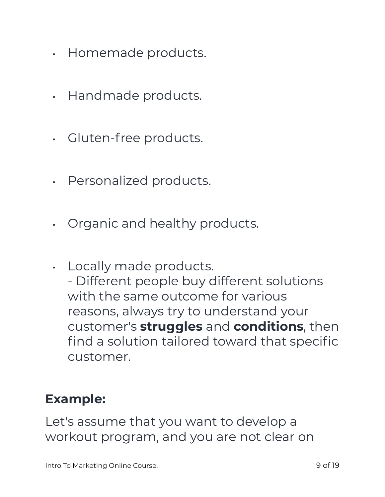- Homemade products.
- Handmade products.
- Gluten-free products.
- Personalized products.
- Organic and healthy products.
- Locally made products. - Different people buy different solutions with the same outcome for various reasons, always try to understand your customer's **struggles** and **conditions**, then find a solution tailored toward that specific customer.

#### **Example:**

Let's assume that you want to develop a workout program, and you are not clear on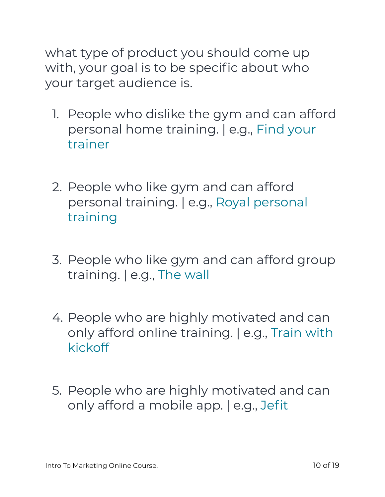what type of product you should come up with, your goal is to be specific about who your target audience is.

- 1. People who dislike the gym and can afford personal home training. | e.g., Find your trainer
- 2. People who like gym and can afford personal training. | e.g., Royal personal training
- 3. People who like gym and can afford group training. | e.g., The wall
- 4. People who are highly motivated and can only afford online training. | e.g., Train with kickoff
- 5. People who are highly motivated and can only afford a mobile app. | e.g., Jefit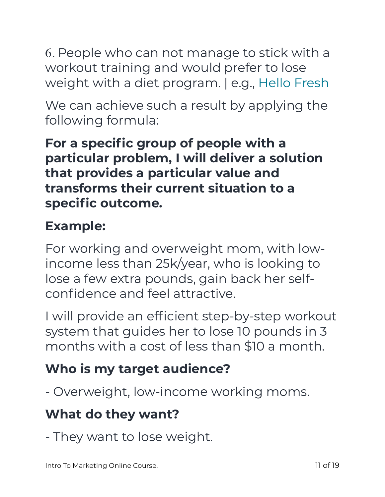6. People who can not manage to stick with a workout training and would prefer to lose weight with a diet program. | e.g., Hello Fresh

We can achieve such a result by applying the following formula:

**For a specific group of people with a particular problem, I will deliver a solution that provides a particular value and transforms their current situation to a specific outcome.** 

# **Example:**

For working and overweight mom, with lowincome less than 25k/year, who is looking to lose a few extra pounds, gain back her selfconfidence and feel attractive.

I will provide an efficient step-by-step workout system that guides her to lose 10 pounds in 3 months with a cost of less than \$10 a month.

# **Who is my target audience?**

- Overweight, low-income working moms.

# **What do they want?**

- They want to lose weight.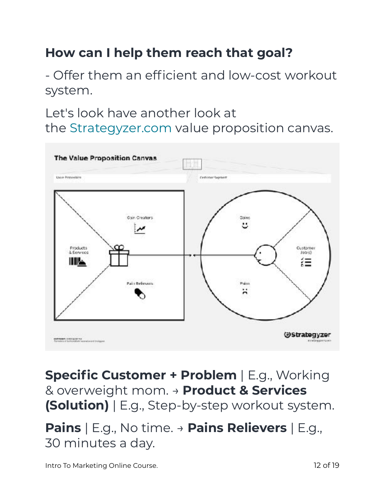## **How can I help them reach that goal?**

- Offer them an efficient and low-cost workout system.

Let's look have another look at the Strategyzer.com value proposition canvas.



**Specific Customer + Problem** | E.g., Working & overweight mom. → **Product & Services (Solution)** | E.g., Step-by-step workout system.

**Pains** | E.g., No time. → **Pains Relievers** | E.g., 30 minutes a day.

Intro To Marketing Online Course. 12 of 19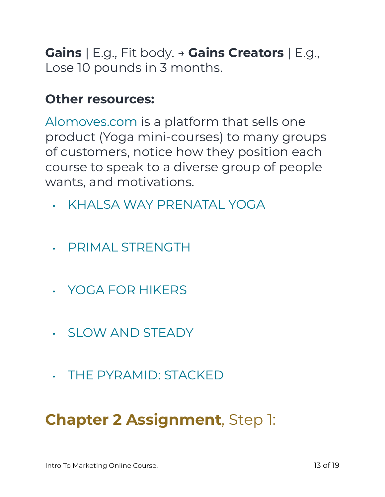**Gains** | E.g., Fit body. → **Gains Creators** | E.g., Lose 10 pounds in 3 months.

#### **Other resources:**

Alomoves.com is a platform that sells one product (Yoga mini-courses) to many groups of customers, notice how they position each course to speak to a diverse group of people wants, and motivations.

- KHALSA WAY PRENATAL YOGA
- PRIMAL STRENGTH
- YOGA FOR HIKERS
- SLOW AND STEADY
- THE PYRAMID: STACKED

# **Chapter 2 Assignment**, Step 1: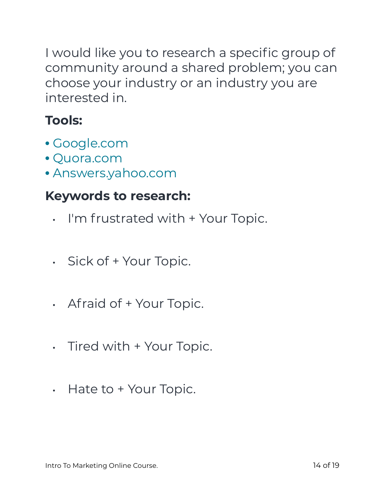I would like you to research a specific group of community around a shared problem; you can choose your industry or an industry you are interested in.

# **Tools:**

- Google.com
- Quora.com
- Answers.yahoo.com

#### **Keywords to research:**

- I'm frustrated with + Your Topic.
- Sick of + Your Topic.
- Afraid of + Your Topic.
- Tired with + Your Topic.
- Hate to + Your Topic.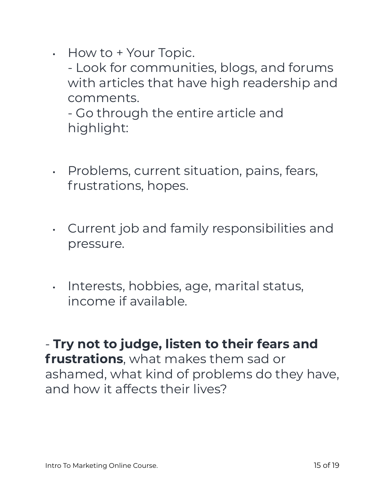• How to + Your Topic.

- Look for communities, blogs, and forums with articles that have high readership and comments.

- Go through the entire article and highlight:

- Problems, current situation, pains, fears, frustrations, hopes.
- Current job and family responsibilities and pressure.
- Interests, hobbies, age, marital status, income if available.

- **Try not to judge, listen to their fears and frustrations**, what makes them sad or ashamed, what kind of problems do they have, and how it affects their lives?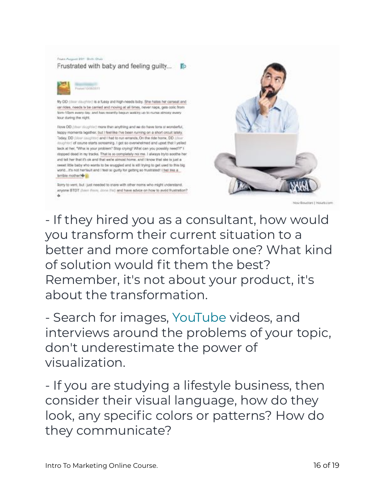



(DD (door daughter) is a fussy and high-needs biby. She hates her conseat and arrides, needs to be carried and noving at all times, never naps, gets colic from forn-10pm every fay, and has recently begun waking up to nurse almosy every lour during the night.

flows DD (directiophist) more than anything and we do have tons of wonderful, teppy moments tigether, but I feel like I've been running on a short crouit lately. Today, DD (door loughted and I had to run emands, On the ride home, DD (door isupher) of course starts screaming. I got so overwhelmed and upset that I yelled lack at her, "What is your problem" Stop crying! What can you possibly need?!" I stopped dead in my tracks. That is so completely not me. I always try to soothe he and tell her that it's ok and that we're almost home, and I know that also is just a sweet little baby vito wants to be sruggled and is still trying to get used to this big vorid. It's not her taut and I test so guity for getting so must sted! I feel ties a brible mother!

Sony to vent, but just needed to stare with other morts who might understand. Anyone BTDT (hiem there, done that) and have advice on how to avoid frustration?



Nou figuriors I Noutuners

- If they hired you as a consultant, how would you transform their current situation to a better and more comfortable one? What kind of solution would fit them the best? Remember, it's not about your product, it's about the transformation.

- Search for images, YouTube videos, and interviews around the problems of your topic, don't underestimate the power of visualization.

- If you are studying a lifestyle business, then consider their visual language, how do they look, any specific colors or patterns? How do they communicate?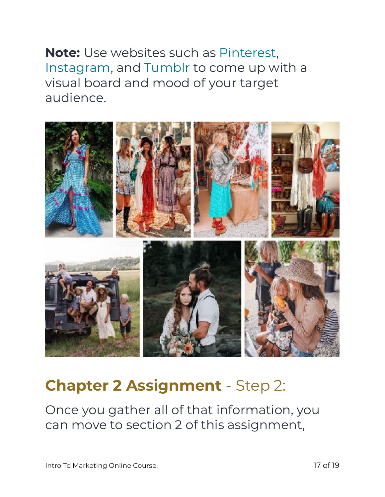**Note:** Use websites such as Pinterest, Instagram, and Tumblr to come up with a visual board and mood of your target audience.



# **Chapter 2 Assignment** - Step 2:

Once you gather all of that information, you can move to section 2 of this assignment,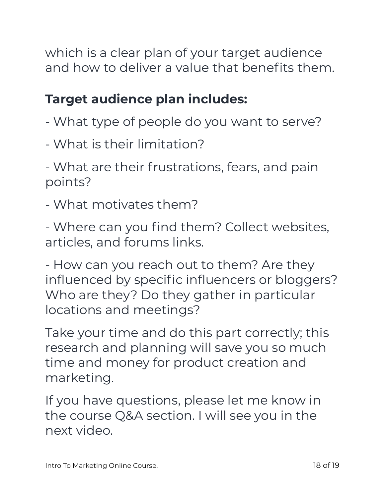which is a clear plan of your target audience and how to deliver a value that benefits them.

# **Target audience plan includes:**

- What type of people do you want to serve?
- What is their limitation?

- What are their frustrations, fears, and pain points?

- What motivates them?

- Where can you find them? Collect websites, articles, and forums links.

- How can you reach out to them? Are they influenced by specific influencers or bloggers? Who are they? Do they gather in particular locations and meetings?

Take your time and do this part correctly; this research and planning will save you so much time and money for product creation and marketing.

If you have questions, please let me know in the course Q&A section. I will see you in the next video.